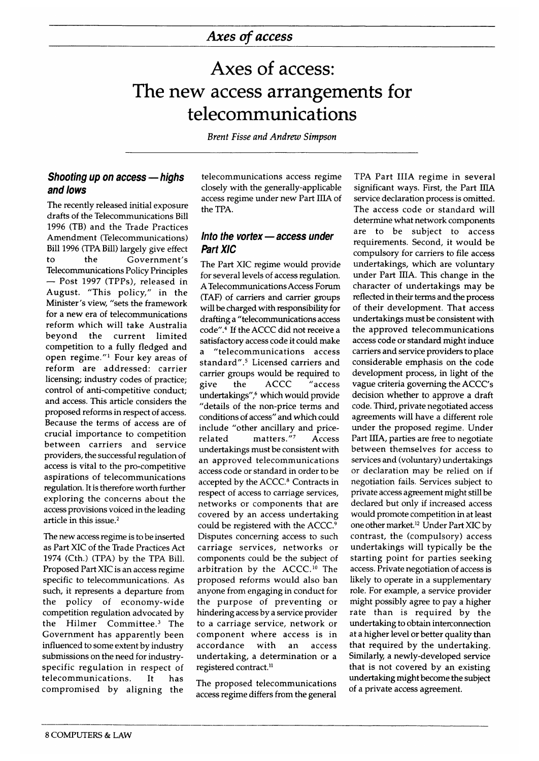# **Axes of access: The new access arrangements for telecommunications**

*Brent Fisse and Andrew Simpson*

# *Shooting up on access— highs and lows*

The recently released initial exposure drafts of the Telecommunications Bill 1996 (TB) and the Trade Practices Amendment (Telecommunications) Bill 1996 (TPA Bill) largely give effect to the Government's Telecommunications Policy Principles — Post 1997 (TPPs), released in August. "This policy," in the Minister's view, "sets the framework for a new era of telecommunications reform which will take Australia beyond the current limited competition to a fully fledged and open regime." $1$  Four key areas of reform are addressed: carrier licensing; industry codes of practice; control of anti-competitive conduct; and access. This article considers the proposed reforms in respect of access. Because the terms of access are of crucial importance to competition between carriers and service providers, the successful regulation of access is vital to the pro-competitive aspirations of telecommunications regulation. It is therefore worth further exploring the concerns about the access provisions voiced in the leading article in this issue.<sup>2</sup>

The new access regime is to be inserted as Part XIC of the Trade Practices Act 1974 (Cth.) (TPA) by the TPA Bill. Proposed Part XIC is an access regime specific to telecommunications. As such, it represents a departure from the policy of economy-wide competition regulation advocated by the Hilmer Committee.<sup>3</sup> The Government has apparently been influenced to some extent by industry submissions on the need for industryspecific regulation in respect of telecommunications. It has compromised by aligning the

telecommunications access regime closely with the generally-applicable access regime under new Part IIIA of the TPA.

### *Into the vortex— access under Part XIC*

The Part XIC regime would provide for several levels of access regulation. A Telecommunications Access Forum (TAF) of carriers and carrier groups will be charged with responsibility for drafting a "telecommunications access code".4 If the ACCC did not receive a satisfactory access code it could make a "telecommunications access standard".<sup>5</sup> Licensed carriers and carrier groups would be required to give the ACCC "access undertakings",6 which would provide "details of the non-price terms and conditions of access" and which could include "other ancillary and pricerelated matters."<sup>7</sup> Access undertakings must be consistent with an approved telecommunications access code or standard in order to be accepted by the ACCC.<sup>8</sup> Contracts in respect of access to carriage services, networks or components that are covered by an access undertaking could be registered with the ACCC.<sup>9</sup> Disputes concerning access to such carriage services, networks or components could be the subject of arbitration by the ACCC.<sup>10</sup> The proposed reforms would also ban anyone from engaging in conduct for the purpose of preventing or hindering access by a service provider to a carriage service, network or com ponent where access is in accordance with an access undertaking, a determination or a registered contract.<sup>11</sup>

The proposed telecommunications access regime differs from the general

TPA Part IIIA regime in several significant ways. First, the Part IIIA service declaration process is omitted. The access code or standard will determine what network components are to be subject to access requirements. Second, it would be compulsory for carriers to file access undertakings, which are voluntary under Part IIIA. This change in the character of undertakings may be reflected in their terms and the process of their development. That access undertakings must be consistent with the approved telecommunications access code or standard might induce carriers and service providers to place considerable emphasis on the code development process, in light of the vague criteria governing the ACCC's decision whether to approve a draft code. Third, private negotiated access agreements will have a different role under the proposed regime. Under Part IIIA, parties are free to negotiate between themselves for access to services and (voluntary) undertakings or declaration may be relied on if negotiation fails. Services subject to private access agreement might still be declared but only if increased access would promote competition in at least one other market.12 Under Part XIC by contrast, the (compulsory) access undertakings will typically be the starting point for parties seeking access. Private negotiation of access is likely to operate in a supplementary role. For example, a service provider might possibly agree to pay a higher rate than is required by the undertaking to obtain interconnection at a higher level or better quality than that required by the undertaking. Similarly, a newly-developed service that is not covered by an existing undertaking might become the subject of a private access agreement.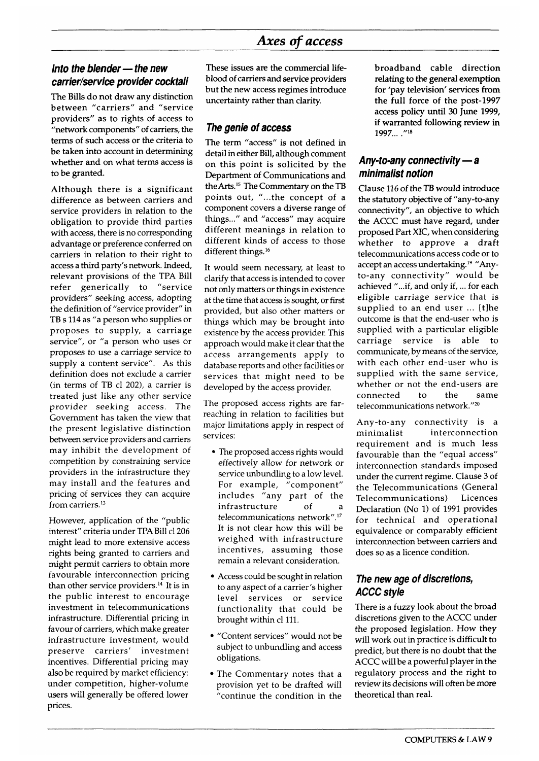# *Axes of access*

# *Into the blender— the new carrler/service provider cocktail*

The Bills do not draw any distinction between "carriers" and "service providers" as to rights of access to "network components" of carriers, the terms of such access or the criteria to be taken into account in determining whether and on what terms access is to be granted.

Although there is a significant difference as between carriers and service providers in relation to the obligation to provide third parties with access, there is no corresponding advantage or preference conferred on carriers in relation to their right to access a third party's network. Indeed, relevant provisions of the TPA Bill refer generically to "service providers" seeking access, adopting the definition of "service provider" in TB s 114 as "a person who supplies or proposes to supply, a carriage service", or "a person who uses or proposes to use a carriage service to supply a content service". As this definition does not exclude a carrier (in terms of TB cl 202), a carrier is treated just like any other service provider seeking access. The Government has taken the view that the present legislative distinction between service providers and carriers may inhibit the development of competition by constraining service providers in the infrastructure they may install and the features and pricing of services they can acquire from carriers.<sup>13</sup>

However, application of the "public interest" criteria under TPA Bill cl 206 might lead to more extensive access rights being granted to carriers and might permit carriers to obtain more favourable interconnection pricing than other service providers.14 It is in the public interest to encourage investment in telecommunications infrastructure. Differential pricing in favour of carriers, which make greater infrastructure investment, would preserve carriers' investment incentives. Differential pricing may also be required by market efficiency: under competition, higher-volume users will generally be offered lower prices.

These issues are the commercial lifeblood of carriers and service providers but the new access regimes introduce uncertainty rather than clarity.

#### *The genie of access*

The term "access" is not defined in detail in either Bill, although comment on this point is solicited by the Department of Communications and the Arts.15 The Commentary on the TB points out, "...the concept of a component covers a diverse range of things..." and "access" may acquire different meanings in relation to different kinds of access to those different things.<sup>16</sup>

It would seem necessary, at least to clarify that access is intended to cover not only matters or things in existence at the time that access is sought, or first provided, but also other matters or things which may be brought into existence by the access provider. This approach would make it clear that the access arrangements apply to database reports and other facilities or services that might need to be developed by the access provider.

The proposed access rights are farreaching in relation to facilities but major limitations apply in respect of services:

- The proposed access rights would effectively allow for network or service unbundling to a low level. For example, "component" includes "any part of the infrastructure of a telecommunications network".17 It is not clear how this will be weighed with infrastructure incentives, assuming those remain a relevant consideration.
- Access could be sought in relation to any aspect of a carrier's higher level services or service functionality that could be brought within cl 111.
- "Content services" would not be subject to unbundling and access obligations.
- The Commentary notes that a provision yet to be drafted will "continue the condition in the

broadband cable direction relating to the general exemption for 'pay television' services from the full force of the post-1997 access policy until 30 June 1999, if warranted following review in 1997... ,"18

#### *Any-to-any connectivity— a minimalist notion*

Clause 116 of the TB would introduce the statutory objective of "any-to-any connectivity", an objective to which the ACCC must have regard, under proposed Part XIC, when considering whether to approve a draft telecommunications access code or to accept an access undertaking.19 "Anyto-any connectivity" would be achieved "...if, and only if, ... for each eligible carriage service that is supplied to an end user ... [t]he outcome is that the end-user who is supplied with a particular eligible carriage service is able to communicate, by means of the service, with each other end-user who is supplied with the same service, whether or not the end-users are connected to the same telecommunications network."20

A ny-to-any connectivity is a minimalist interconnection requirement and is much less favourable than the "equal access" interconnection standards imposed under the current regime. Clause 3 of the Telecommunications (General Telecommunications) Licences Declaration (No 1) of 1991 provides for technical and operational equivalence or comparably efficient interconnection between carriers and does so as a licence condition.

# *The new age of discretions, ACCC style*

There is a fuzzy look about the broad discretions given to the ACCC under the proposed legislation. How they will work out in practice is difficult to predict, but there is no doubt that the ACCC will be a powerful player in the regulatory process and the right to review its decisions will often be more theoretical than real.